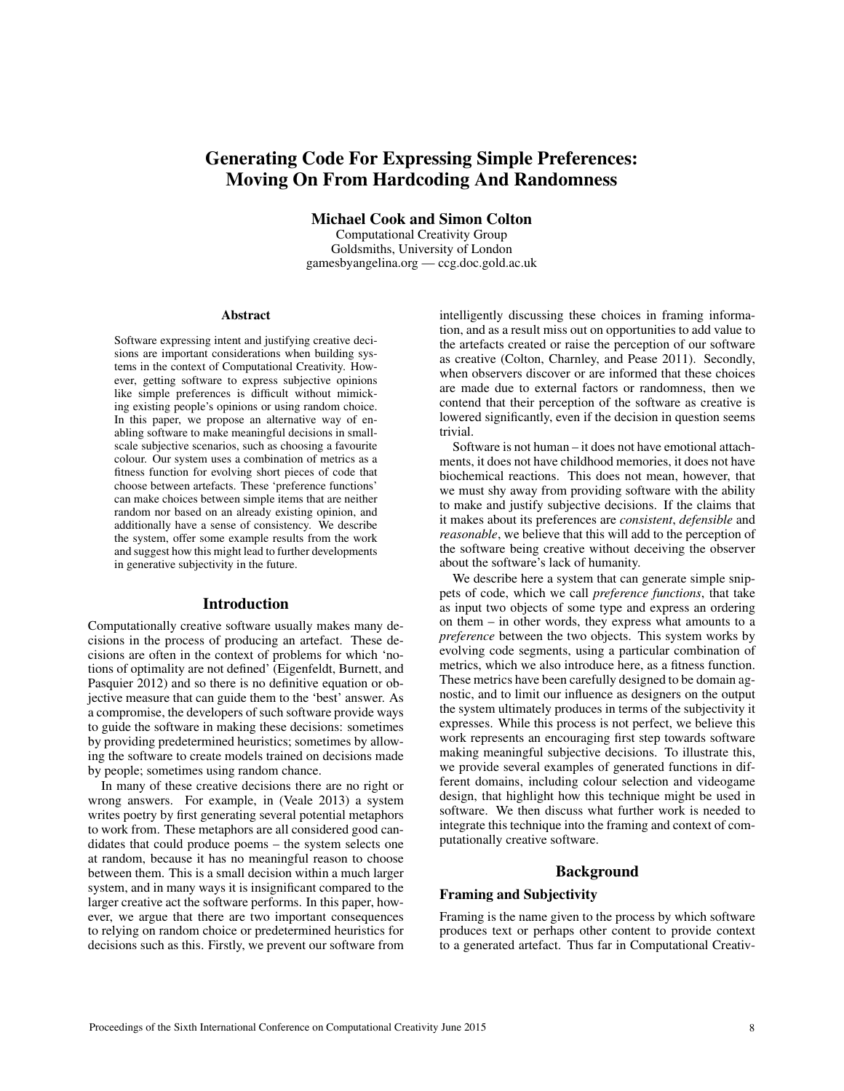# Generating Code For Expressing Simple Preferences: Moving On From Hardcoding And Randomness

Michael Cook and Simon Colton

Computational Creativity Group Goldsmiths, University of London gamesbyangelina.org — ccg.doc.gold.ac.uk

# Abstract

Software expressing intent and justifying creative decisions are important considerations when building systems in the context of Computational Creativity. However, getting software to express subjective opinions like simple preferences is difficult without mimicking existing people's opinions or using random choice. In this paper, we propose an alternative way of enabling software to make meaningful decisions in smallscale subjective scenarios, such as choosing a favourite colour. Our system uses a combination of metrics as a fitness function for evolving short pieces of code that choose between artefacts. These 'preference functions' can make choices between simple items that are neither random nor based on an already existing opinion, and additionally have a sense of consistency. We describe the system, offer some example results from the work and suggest how this might lead to further developments in generative subjectivity in the future.

# Introduction

Computationally creative software usually makes many decisions in the process of producing an artefact. These decisions are often in the context of problems for which 'notions of optimality are not defined' (Eigenfeldt, Burnett, and Pasquier 2012) and so there is no definitive equation or objective measure that can guide them to the 'best' answer. As a compromise, the developers of such software provide ways to guide the software in making these decisions: sometimes by providing predetermined heuristics; sometimes by allowing the software to create models trained on decisions made by people; sometimes using random chance.

In many of these creative decisions there are no right or wrong answers. For example, in (Veale 2013) a system writes poetry by first generating several potential metaphors to work from. These metaphors are all considered good candidates that could produce poems – the system selects one at random, because it has no meaningful reason to choose between them. This is a small decision within a much larger system, and in many ways it is insignificant compared to the larger creative act the software performs. In this paper, however, we argue that there are two important consequences to relying on random choice or predetermined heuristics for decisions such as this. Firstly, we prevent our software from intelligently discussing these choices in framing information, and as a result miss out on opportunities to add value to the artefacts created or raise the perception of our software as creative (Colton, Charnley, and Pease 2011). Secondly, when observers discover or are informed that these choices are made due to external factors or randomness, then we contend that their perception of the software as creative is lowered significantly, even if the decision in question seems trivial.

Software is not human – it does not have emotional attachments, it does not have childhood memories, it does not have biochemical reactions. This does not mean, however, that we must shy away from providing software with the ability to make and justify subjective decisions. If the claims that it makes about its preferences are *consistent*, *defensible* and *reasonable*, we believe that this will add to the perception of the software being creative without deceiving the observer about the software's lack of humanity.

We describe here a system that can generate simple snippets of code, which we call *preference functions*, that take as input two objects of some type and express an ordering on them – in other words, they express what amounts to a *preference* between the two objects. This system works by evolving code segments, using a particular combination of metrics, which we also introduce here, as a fitness function. These metrics have been carefully designed to be domain agnostic, and to limit our influence as designers on the output the system ultimately produces in terms of the subjectivity it expresses. While this process is not perfect, we believe this work represents an encouraging first step towards software making meaningful subjective decisions. To illustrate this, we provide several examples of generated functions in different domains, including colour selection and videogame design, that highlight how this technique might be used in software. We then discuss what further work is needed to integrate this technique into the framing and context of computationally creative software.

# Background

# Framing and Subjectivity

Framing is the name given to the process by which software produces text or perhaps other content to provide context to a generated artefact. Thus far in Computational Creativ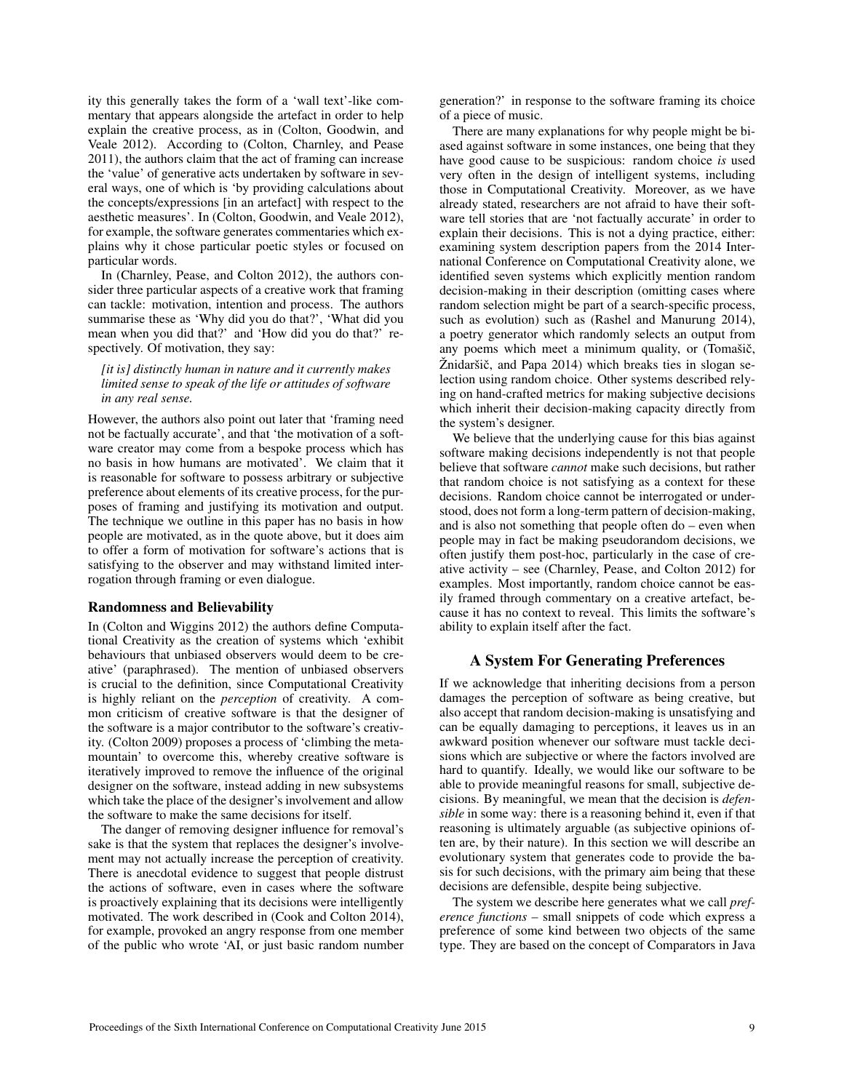ity this generally takes the form of a 'wall text'-like commentary that appears alongside the artefact in order to help explain the creative process, as in (Colton, Goodwin, and Veale 2012). According to (Colton, Charnley, and Pease 2011), the authors claim that the act of framing can increase the 'value' of generative acts undertaken by software in several ways, one of which is 'by providing calculations about the concepts/expressions [in an artefact] with respect to the aesthetic measures'. In (Colton, Goodwin, and Veale 2012), for example, the software generates commentaries which explains why it chose particular poetic styles or focused on particular words.

In (Charnley, Pease, and Colton 2012), the authors consider three particular aspects of a creative work that framing can tackle: motivation, intention and process. The authors summarise these as 'Why did you do that?', 'What did you mean when you did that?' and 'How did you do that?' respectively. Of motivation, they say:

*[it is] distinctly human in nature and it currently makes limited sense to speak of the life or attitudes of software in any real sense.*

However, the authors also point out later that 'framing need not be factually accurate', and that 'the motivation of a software creator may come from a bespoke process which has no basis in how humans are motivated'. We claim that it is reasonable for software to possess arbitrary or subjective preference about elements of its creative process, for the purposes of framing and justifying its motivation and output. The technique we outline in this paper has no basis in how people are motivated, as in the quote above, but it does aim to offer a form of motivation for software's actions that is satisfying to the observer and may withstand limited interrogation through framing or even dialogue.

### Randomness and Believability

In (Colton and Wiggins 2012) the authors define Computational Creativity as the creation of systems which 'exhibit behaviours that unbiased observers would deem to be creative' (paraphrased). The mention of unbiased observers is crucial to the definition, since Computational Creativity is highly reliant on the *perception* of creativity. A common criticism of creative software is that the designer of the software is a major contributor to the software's creativity. (Colton 2009) proposes a process of 'climbing the metamountain' to overcome this, whereby creative software is iteratively improved to remove the influence of the original designer on the software, instead adding in new subsystems which take the place of the designer's involvement and allow the software to make the same decisions for itself.

The danger of removing designer influence for removal's sake is that the system that replaces the designer's involvement may not actually increase the perception of creativity. There is anecdotal evidence to suggest that people distrust the actions of software, even in cases where the software is proactively explaining that its decisions were intelligently motivated. The work described in (Cook and Colton 2014), for example, provoked an angry response from one member of the public who wrote 'AI, or just basic random number generation?' in response to the software framing its choice of a piece of music.

There are many explanations for why people might be biased against software in some instances, one being that they have good cause to be suspicious: random choice *is* used very often in the design of intelligent systems, including those in Computational Creativity. Moreover, as we have already stated, researchers are not afraid to have their software tell stories that are 'not factually accurate' in order to explain their decisions. This is not a dying practice, either: examining system description papers from the 2014 International Conference on Computational Creativity alone, we identified seven systems which explicitly mention random decision-making in their description (omitting cases where random selection might be part of a search-specific process, such as evolution) such as (Rashel and Manurung 2014), a poetry generator which randomly selects an output from any poems which meet a minimum quality, or (Tomašič, Žnidaršič, and Papa 2014) which breaks ties in slogan selection using random choice. Other systems described relying on hand-crafted metrics for making subjective decisions which inherit their decision-making capacity directly from the system's designer.

We believe that the underlying cause for this bias against software making decisions independently is not that people believe that software *cannot* make such decisions, but rather that random choice is not satisfying as a context for these decisions. Random choice cannot be interrogated or understood, does not form a long-term pattern of decision-making, and is also not something that people often do – even when people may in fact be making pseudorandom decisions, we often justify them post-hoc, particularly in the case of creative activity – see (Charnley, Pease, and Colton 2012) for examples. Most importantly, random choice cannot be easily framed through commentary on a creative artefact, because it has no context to reveal. This limits the software's ability to explain itself after the fact.

### A System For Generating Preferences

If we acknowledge that inheriting decisions from a person damages the perception of software as being creative, but also accept that random decision-making is unsatisfying and can be equally damaging to perceptions, it leaves us in an awkward position whenever our software must tackle decisions which are subjective or where the factors involved are hard to quantify. Ideally, we would like our software to be able to provide meaningful reasons for small, subjective decisions. By meaningful, we mean that the decision is *defensible* in some way: there is a reasoning behind it, even if that reasoning is ultimately arguable (as subjective opinions often are, by their nature). In this section we will describe an evolutionary system that generates code to provide the basis for such decisions, with the primary aim being that these decisions are defensible, despite being subjective.

The system we describe here generates what we call *preference functions* – small snippets of code which express a preference of some kind between two objects of the same type. They are based on the concept of Comparators in Java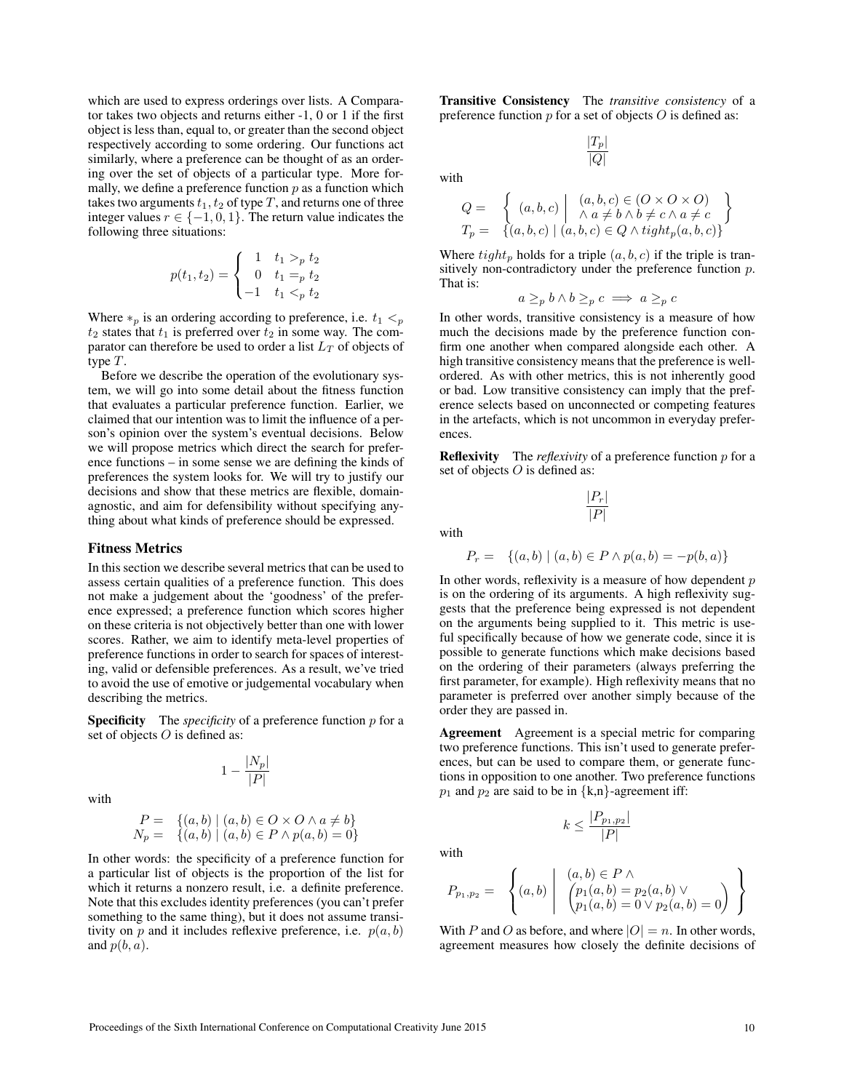which are used to express orderings over lists. A Comparator takes two objects and returns either -1, 0 or 1 if the first object is less than, equal to, or greater than the second object respectively according to some ordering. Our functions act similarly, where a preference can be thought of as an ordering over the set of objects of a particular type. More formally, we define a preference function *p* as a function which takes two arguments  $t_1, t_2$  of type  $T$ , and returns one of three integer values  $r \in \{-1, 0, 1\}$ . The return value indicates the following three situations:

$$
p(t_1, t_2) = \begin{cases} 1 & t_1 >_p t_2 \\ 0 & t_1 =_p t_2 \\ -1 & t_1 <_p t_2 \end{cases}
$$

Where  $*_p$  is an ordering according to preference, i.e.  $t_1 <_p$  $t_2$  states that  $t_1$  is preferred over  $t_2$  in some way. The comparator can therefore be used to order a list *L<sup>T</sup>* of objects of type *T*.

Before we describe the operation of the evolutionary system, we will go into some detail about the fitness function that evaluates a particular preference function. Earlier, we claimed that our intention was to limit the influence of a person's opinion over the system's eventual decisions. Below we will propose metrics which direct the search for preference functions – in some sense we are defining the kinds of preferences the system looks for. We will try to justify our decisions and show that these metrics are flexible, domainagnostic, and aim for defensibility without specifying anything about what kinds of preference should be expressed.

### Fitness Metrics

In this section we describe several metrics that can be used to assess certain qualities of a preference function. This does not make a judgement about the 'goodness' of the preference expressed; a preference function which scores higher on these criteria is not objectively better than one with lower scores. Rather, we aim to identify meta-level properties of preference functions in order to search for spaces of interesting, valid or defensible preferences. As a result, we've tried to avoid the use of emotive or judgemental vocabulary when describing the metrics.

Specificity The *specificity* of a preference function *p* for a set of objects *O* is defined as:

$$
1-\frac{|N_p|}{|P|}
$$

with

$$
P = \{(a, b) \mid (a, b) \in O \times O \land a \neq b\}
$$
  

$$
N_p = \{(a, b) \mid (a, b) \in P \land p(a, b) = 0\}
$$

In other words: the specificity of a preference function for a particular list of objects is the proportion of the list for which it returns a nonzero result, i.e. a definite preference. Note that this excludes identity preferences (you can't prefer something to the same thing), but it does not assume transitivity on  $p$  and it includes reflexive preference, i.e.  $p(a, b)$ and *p*(*b, a*).

Transitive Consistency The *transitive consistency* of a preference function *p* for a set of objects *O* is defined as:

> *|Tp| |Q|*

with

$$
Q = \left\{ (a, b, c) \mid \begin{array}{l} (a, b, c) \in (O \times O \times O) \\ \wedge a \neq b \wedge b \neq c \wedge a \neq c \\ T_p = \left\{ (a, b, c) \mid (a, b, c) \in Q \wedge tight_p(a, b, c) \right\} \end{array} \right\}
$$

Where  $tight_p$  holds for a triple  $(a, b, c)$  if the triple is transitively non-contradictory under the preference function *p*. That is:

$$
a \geq_p b \land b \geq_p c \implies a \geq_p c
$$

In other words, transitive consistency is a measure of how much the decisions made by the preference function confirm one another when compared alongside each other. A high transitive consistency means that the preference is wellordered. As with other metrics, this is not inherently good or bad. Low transitive consistency can imply that the preference selects based on unconnected or competing features in the artefacts, which is not uncommon in everyday preferences.

Reflexivity The *reflexivity* of a preference function *p* for a set of objects *O* is defined as:

$$
\frac{|P_r|}{|P|}
$$

with

$$
P_r = \{(a, b) \mid (a, b) \in P \land p(a, b) = -p(b, a)\}
$$

In other words, reflexivity is a measure of how dependent *p* is on the ordering of its arguments. A high reflexivity suggests that the preference being expressed is not dependent on the arguments being supplied to it. This metric is useful specifically because of how we generate code, since it is possible to generate functions which make decisions based on the ordering of their parameters (always preferring the first parameter, for example). High reflexivity means that no parameter is preferred over another simply because of the order they are passed in.

Agreement Agreement is a special metric for comparing two preference functions. This isn't used to generate preferences, but can be used to compare them, or generate functions in opposition to one another. Two preference functions  $p_1$  and  $p_2$  are said to be in  $\{k,n\}$ -agreement iff:

with

$$
P_{p_1,p_2} = \left\{ (a,b) \left| \begin{array}{c} (a,b) \in P \land \\ (p_1(a,b) = p_2(a,b) \lor \\ p_1(a,b) = 0 \lor p_2(a,b) = 0 \end{array} \right) \right\}
$$

 $k \leq \frac{|P_{p_1,p_2}|}{|P|}$ 

With *P* and *O* as before, and where  $|O| = n$ . In other words, agreement measures how closely the definite decisions of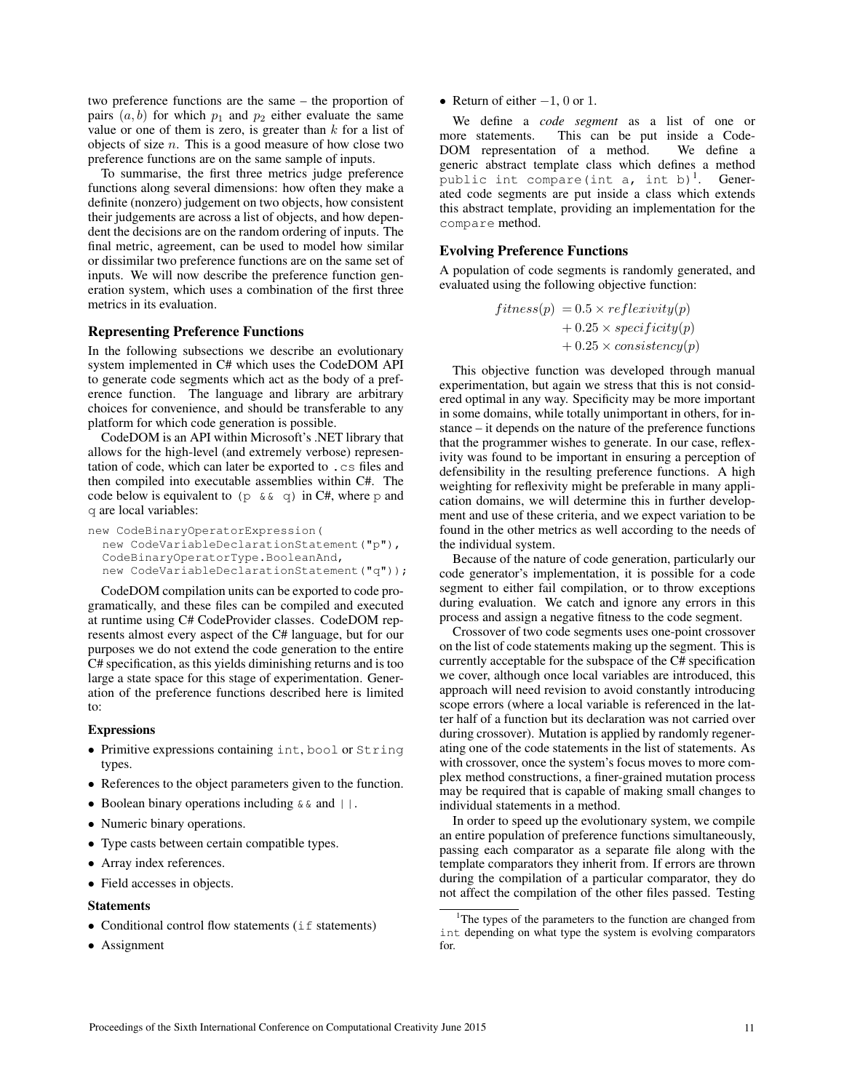two preference functions are the same – the proportion of pairs  $(a, b)$  for which  $p_1$  and  $p_2$  either evaluate the same value or one of them is zero, is greater than *k* for a list of objects of size *n*. This is a good measure of how close two preference functions are on the same sample of inputs.

To summarise, the first three metrics judge preference functions along several dimensions: how often they make a definite (nonzero) judgement on two objects, how consistent their judgements are across a list of objects, and how dependent the decisions are on the random ordering of inputs. The final metric, agreement, can be used to model how similar or dissimilar two preference functions are on the same set of inputs. We will now describe the preference function generation system, which uses a combination of the first three metrics in its evaluation.

# Representing Preference Functions

In the following subsections we describe an evolutionary system implemented in C# which uses the CodeDOM API to generate code segments which act as the body of a preference function. The language and library are arbitrary choices for convenience, and should be transferable to any platform for which code generation is possible.

CodeDOM is an API within Microsoft's .NET library that allows for the high-level (and extremely verbose) representation of code, which can later be exported to .cs files and then compiled into executable assemblies within C#. The code below is equivalent to (p  $\&\& q$ ) in C#, where p and q are local variables:

```
new CodeBinaryOperatorExpression(
  new CodeVariableDeclarationStatement("p"),
  CodeBinaryOperatorType.BooleanAnd,
  new CodeVariableDeclarationStatement("q"));
```
CodeDOM compilation units can be exported to code programatically, and these files can be compiled and executed at runtime using C# CodeProvider classes. CodeDOM represents almost every aspect of the C# language, but for our purposes we do not extend the code generation to the entire C# specification, as this yields diminishing returns and is too large a state space for this stage of experimentation. Generation of the preference functions described here is limited to:

### **Expressions**

- *•* Primitive expressions containing int, bool or String types.
- References to the object parameters given to the function.
- Boolean binary operations including  $\&\&\&\text{ and }|\|.\$
- *•* Numeric binary operations.
- *•* Type casts between certain compatible types.
- *•* Array index references.
- Field accesses in objects.

#### Statements

- Conditional control flow statements (if statements)
- *•* Assignment

• Return of either  $-1$ , 0 or 1.

We define a *code segment* as a list of one or more statements. This can be put inside a Code-<br>DOM representation of a method. We define a DOM representation of a method. generic abstract template class which defines a method public int compare(int a, int b)<sup>1</sup>. Generated code segments are put inside a class which extends this abstract template, providing an implementation for the compare method.

### Evolving Preference Functions

A population of code segments is randomly generated, and evaluated using the following objective function:

$$
fitness(p) = 0.5 \times \text{reflexivity}(p) + 0.25 \times \text{specificity}(p) + 0.25 \times \text{consistency}(p)
$$

This objective function was developed through manual experimentation, but again we stress that this is not considered optimal in any way. Specificity may be more important in some domains, while totally unimportant in others, for instance – it depends on the nature of the preference functions that the programmer wishes to generate. In our case, reflexivity was found to be important in ensuring a perception of defensibility in the resulting preference functions. A high weighting for reflexivity might be preferable in many application domains, we will determine this in further development and use of these criteria, and we expect variation to be found in the other metrics as well according to the needs of the individual system.

Because of the nature of code generation, particularly our code generator's implementation, it is possible for a code segment to either fail compilation, or to throw exceptions during evaluation. We catch and ignore any errors in this process and assign a negative fitness to the code segment.

Crossover of two code segments uses one-point crossover on the list of code statements making up the segment. This is currently acceptable for the subspace of the C# specification we cover, although once local variables are introduced, this approach will need revision to avoid constantly introducing scope errors (where a local variable is referenced in the latter half of a function but its declaration was not carried over during crossover). Mutation is applied by randomly regenerating one of the code statements in the list of statements. As with crossover, once the system's focus moves to more complex method constructions, a finer-grained mutation process may be required that is capable of making small changes to individual statements in a method.

In order to speed up the evolutionary system, we compile an entire population of preference functions simultaneously, passing each comparator as a separate file along with the template comparators they inherit from. If errors are thrown during the compilation of a particular comparator, they do not affect the compilation of the other files passed. Testing

<sup>&</sup>lt;sup>1</sup>The types of the parameters to the function are changed from int depending on what type the system is evolving comparators for.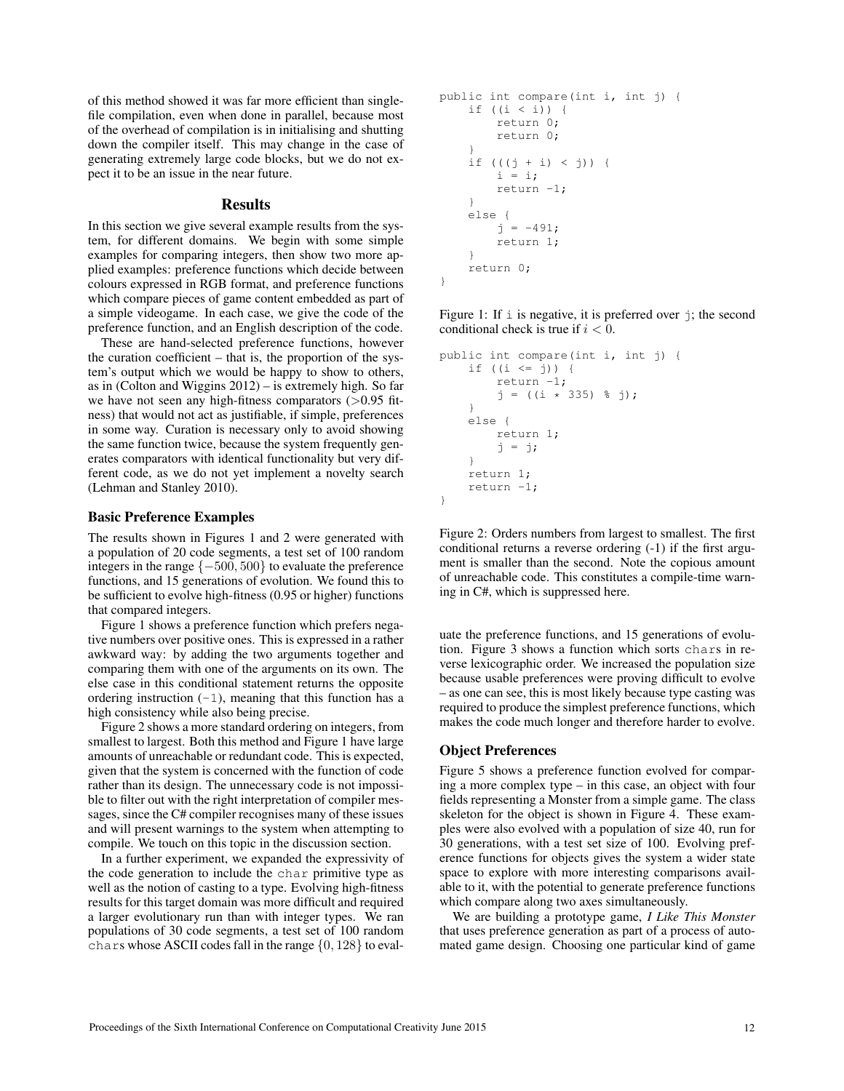of this method showed it was far more efficient than singlefile compilation, even when done in parallel, because most of the overhead of compilation is in initialising and shutting down the compiler itself. This may change in the case of generating extremely large code blocks, but we do not expect it to be an issue in the near future.

# **Results**

In this section we give several example results from the system, for different domains. We begin with some simple examples for comparing integers, then show two more applied examples: preference functions which decide between colours expressed in RGB format, and preference functions which compare pieces of game content embedded as part of a simple videogame. In each case, we give the code of the preference function, and an English description of the code.

These are hand-selected preference functions, however the curation coefficient – that is, the proportion of the system's output which we would be happy to show to others, as in (Colton and Wiggins 2012) – is extremely high. So far we have not seen any high-fitness comparators (*>*0.95 fitness) that would not act as justifiable, if simple, preferences in some way. Curation is necessary only to avoid showing the same function twice, because the system frequently generates comparators with identical functionality but very different code, as we do not yet implement a novelty search (Lehman and Stanley 2010).

### Basic Preference Examples

The results shown in Figures 1 and 2 were generated with a population of 20 code segments, a test set of 100 random integers in the range  $\{-500, 500\}$  to evaluate the preference functions, and 15 generations of evolution. We found this to be sufficient to evolve high-fitness (0.95 or higher) functions that compared integers.

Figure 1 shows a preference function which prefers negative numbers over positive ones. This is expressed in a rather awkward way: by adding the two arguments together and comparing them with one of the arguments on its own. The else case in this conditional statement returns the opposite ordering instruction  $(-1)$ , meaning that this function has a high consistency while also being precise.

Figure 2 shows a more standard ordering on integers, from smallest to largest. Both this method and Figure 1 have large amounts of unreachable or redundant code. This is expected, given that the system is concerned with the function of code rather than its design. The unnecessary code is not impossible to filter out with the right interpretation of compiler messages, since the C# compiler recognises many of these issues and will present warnings to the system when attempting to compile. We touch on this topic in the discussion section.

In a further experiment, we expanded the expressivity of the code generation to include the char primitive type as well as the notion of casting to a type. Evolving high-fitness results for this target domain was more difficult and required a larger evolutionary run than with integer types. We ran populations of 30 code segments, a test set of 100 random chars whose ASCII codes fall in the range *{*0*,* 128*}* to eval-

```
public int compare(int i, int j) {
    if ((i < i)) {
        return 0;
        return 0;
    }
    if (((j + i) < j)) {
        i = i;return -1;
    }
    else {
        j = -491:
        return 1;
    }
    return 0;
}
```
Figure 1: If  $\pm$  is negative, it is preferred over  $\pm$ ; the second conditional check is true if *i <* 0.

```
public int compare(int i, int j) {
    if ((i <= j)) {
       return -1;
        j = ((i * 335) % j);}
    else {
       return 1;
        j = j;
    }
    return 1;
    return -1;
}
```
Figure 2: Orders numbers from largest to smallest. The first conditional returns a reverse ordering (-1) if the first argument is smaller than the second. Note the copious amount of unreachable code. This constitutes a compile-time warning in C#, which is suppressed here.

uate the preference functions, and 15 generations of evolution. Figure 3 shows a function which sorts chars in reverse lexicographic order. We increased the population size because usable preferences were proving difficult to evolve – as one can see, this is most likely because type casting was required to produce the simplest preference functions, which makes the code much longer and therefore harder to evolve.

### Object Preferences

Figure 5 shows a preference function evolved for comparing a more complex type – in this case, an object with four fields representing a Monster from a simple game. The class skeleton for the object is shown in Figure 4. These examples were also evolved with a population of size 40, run for 30 generations, with a test set size of 100. Evolving preference functions for objects gives the system a wider state space to explore with more interesting comparisons available to it, with the potential to generate preference functions which compare along two axes simultaneously.

We are building a prototype game, *I Like This Monster* that uses preference generation as part of a process of automated game design. Choosing one particular kind of game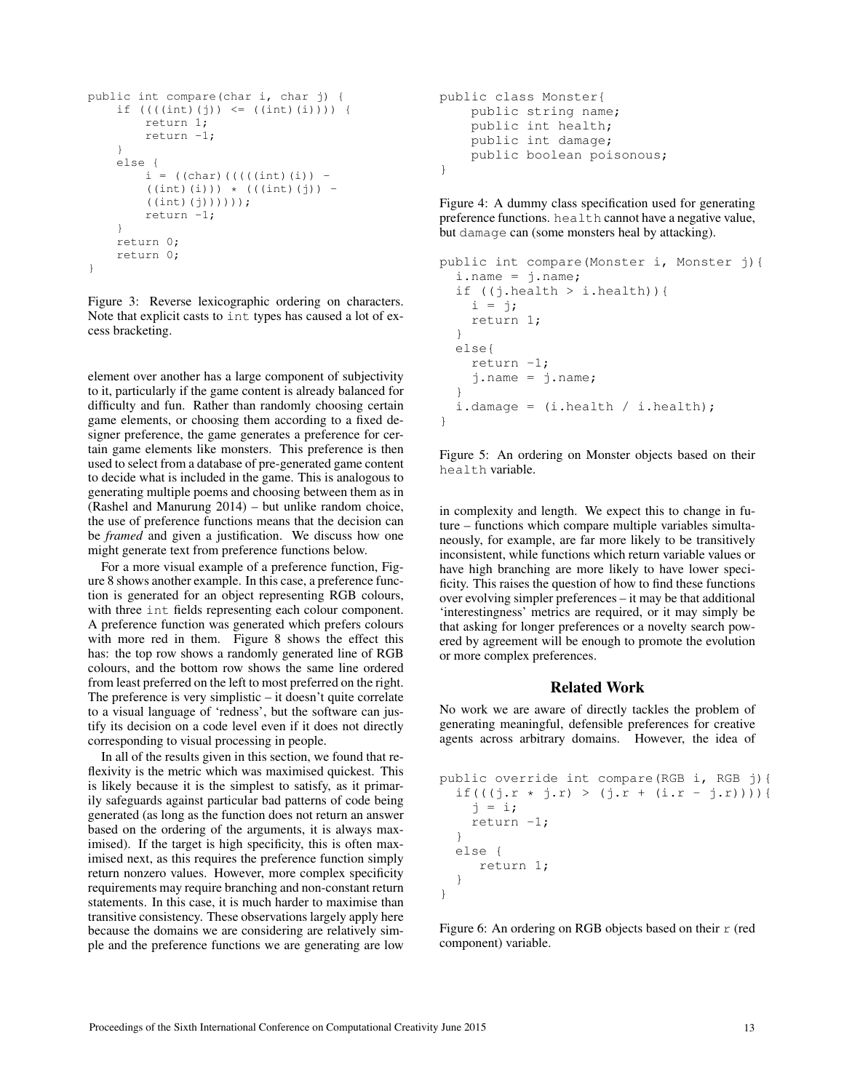```
public int compare(char i, char j) {
    if (((int)(j)) \leq ((int)(i))) {
        return 1;
        return -1;
    }
    else {
        i = ((char)((((int)(i)) -((int)(i)) * (((int)(j)) -
        ((int)(j))));
        return -1;
    }
    return 0;
    return 0;
}
```
Figure 3: Reverse lexicographic ordering on characters. Note that explicit casts to int types has caused a lot of excess bracketing.

element over another has a large component of subjectivity to it, particularly if the game content is already balanced for difficulty and fun. Rather than randomly choosing certain game elements, or choosing them according to a fixed designer preference, the game generates a preference for certain game elements like monsters. This preference is then used to select from a database of pre-generated game content to decide what is included in the game. This is analogous to generating multiple poems and choosing between them as in (Rashel and Manurung 2014) – but unlike random choice, the use of preference functions means that the decision can be *framed* and given a justification. We discuss how one might generate text from preference functions below.

For a more visual example of a preference function, Figure 8 shows another example. In this case, a preference function is generated for an object representing RGB colours, with three int fields representing each colour component. A preference function was generated which prefers colours with more red in them. Figure 8 shows the effect this has: the top row shows a randomly generated line of RGB colours, and the bottom row shows the same line ordered from least preferred on the left to most preferred on the right. The preference is very simplistic – it doesn't quite correlate to a visual language of 'redness', but the software can justify its decision on a code level even if it does not directly corresponding to visual processing in people.

In all of the results given in this section, we found that reflexivity is the metric which was maximised quickest. This is likely because it is the simplest to satisfy, as it primarily safeguards against particular bad patterns of code being generated (as long as the function does not return an answer based on the ordering of the arguments, it is always maximised). If the target is high specificity, this is often maximised next, as this requires the preference function simply return nonzero values. However, more complex specificity requirements may require branching and non-constant return statements. In this case, it is much harder to maximise than transitive consistency. These observations largely apply here because the domains we are considering are relatively simple and the preference functions we are generating are low

```
public class Monster{
    public string name;
    public int health;
    public int damage;
    public boolean poisonous;
}
```
Figure 4: A dummy class specification used for generating preference functions. health cannot have a negative value, but damage can (some monsters heal by attacking).

```
public int compare(Monster i, Monster j){
  i.name = j.name;
  if ((\text{i.health} > \text{i. health}))i = j;
    return 1;
  }
  else{
    return -1;j.name = j.name;}
  i.damage = (i. \text{health} / i. \text{health});
}
```
Figure 5: An ordering on Monster objects based on their health variable.

in complexity and length. We expect this to change in future – functions which compare multiple variables simultaneously, for example, are far more likely to be transitively inconsistent, while functions which return variable values or have high branching are more likely to have lower specificity. This raises the question of how to find these functions over evolving simpler preferences – it may be that additional 'interestingness' metrics are required, or it may simply be that asking for longer preferences or a novelty search powered by agreement will be enough to promote the evolution or more complex preferences.

# Related Work

No work we are aware of directly tackles the problem of generating meaningful, defensible preferences for creative agents across arbitrary domains. However, the idea of

```
public override int compare(RGB i, RGB j){
  if(((j.r * j.r) > (j.r + (i.r - j.r)))j = i;return -1;
  }
  else {
     return 1;
  }
}
```
Figure 6: An ordering on RGB objects based on their r (red component) variable.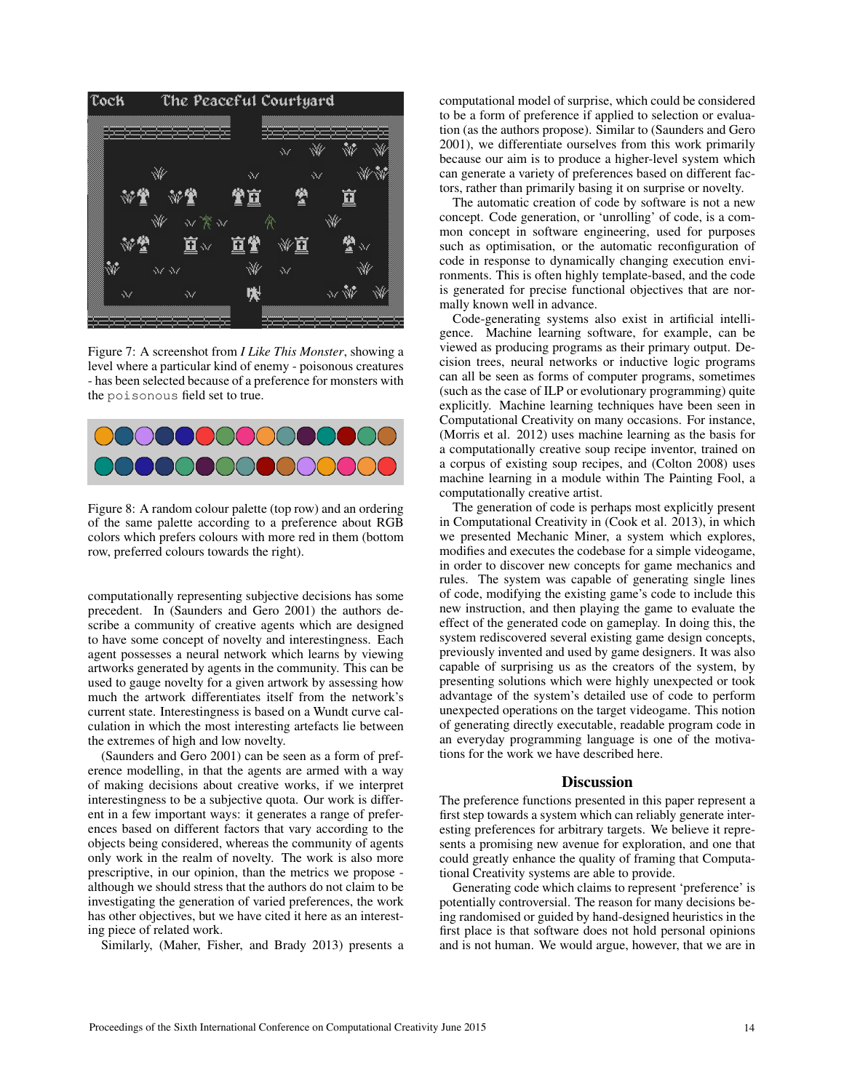

Figure 7: A screenshot from *I Like This Monster*, showing a level where a particular kind of enemy - poisonous creatures - has been selected because of a preference for monsters with the poisonous field set to true.



Figure 8: A random colour palette (top row) and an ordering of the same palette according to a preference about RGB colors which prefers colours with more red in them (bottom row, preferred colours towards the right).

computationally representing subjective decisions has some precedent. In (Saunders and Gero 2001) the authors describe a community of creative agents which are designed to have some concept of novelty and interestingness. Each agent possesses a neural network which learns by viewing artworks generated by agents in the community. This can be used to gauge novelty for a given artwork by assessing how much the artwork differentiates itself from the network's current state. Interestingness is based on a Wundt curve calculation in which the most interesting artefacts lie between the extremes of high and low novelty.

(Saunders and Gero 2001) can be seen as a form of preference modelling, in that the agents are armed with a way of making decisions about creative works, if we interpret interestingness to be a subjective quota. Our work is different in a few important ways: it generates a range of preferences based on different factors that vary according to the objects being considered, whereas the community of agents only work in the realm of novelty. The work is also more prescriptive, in our opinion, than the metrics we propose although we should stress that the authors do not claim to be investigating the generation of varied preferences, the work has other objectives, but we have cited it here as an interesting piece of related work.

Similarly, (Maher, Fisher, and Brady 2013) presents a

computational model of surprise, which could be considered to be a form of preference if applied to selection or evaluation (as the authors propose). Similar to (Saunders and Gero 2001), we differentiate ourselves from this work primarily because our aim is to produce a higher-level system which can generate a variety of preferences based on different factors, rather than primarily basing it on surprise or novelty.

The automatic creation of code by software is not a new concept. Code generation, or 'unrolling' of code, is a common concept in software engineering, used for purposes such as optimisation, or the automatic reconfiguration of code in response to dynamically changing execution environments. This is often highly template-based, and the code is generated for precise functional objectives that are normally known well in advance.

Code-generating systems also exist in artificial intelligence. Machine learning software, for example, can be viewed as producing programs as their primary output. Decision trees, neural networks or inductive logic programs can all be seen as forms of computer programs, sometimes (such as the case of ILP or evolutionary programming) quite explicitly. Machine learning techniques have been seen in Computational Creativity on many occasions. For instance, (Morris et al. 2012) uses machine learning as the basis for a computationally creative soup recipe inventor, trained on a corpus of existing soup recipes, and (Colton 2008) uses machine learning in a module within The Painting Fool, a computationally creative artist.

The generation of code is perhaps most explicitly present in Computational Creativity in (Cook et al. 2013), in which we presented Mechanic Miner, a system which explores, modifies and executes the codebase for a simple videogame, in order to discover new concepts for game mechanics and rules. The system was capable of generating single lines of code, modifying the existing game's code to include this new instruction, and then playing the game to evaluate the effect of the generated code on gameplay. In doing this, the system rediscovered several existing game design concepts, previously invented and used by game designers. It was also capable of surprising us as the creators of the system, by presenting solutions which were highly unexpected or took advantage of the system's detailed use of code to perform unexpected operations on the target videogame. This notion of generating directly executable, readable program code in an everyday programming language is one of the motivations for the work we have described here.

### **Discussion**

The preference functions presented in this paper represent a first step towards a system which can reliably generate interesting preferences for arbitrary targets. We believe it represents a promising new avenue for exploration, and one that could greatly enhance the quality of framing that Computational Creativity systems are able to provide.

Generating code which claims to represent 'preference' is potentially controversial. The reason for many decisions being randomised or guided by hand-designed heuristics in the first place is that software does not hold personal opinions and is not human. We would argue, however, that we are in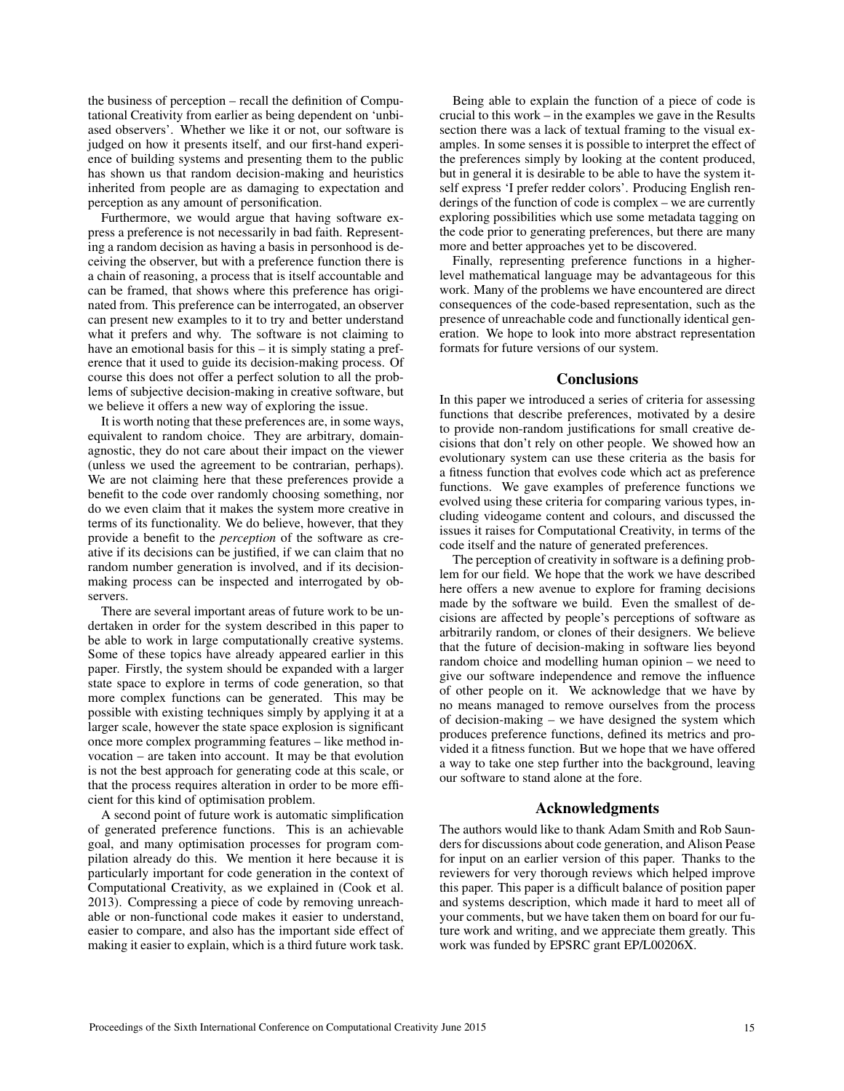the business of perception – recall the definition of Computational Creativity from earlier as being dependent on 'unbiased observers'. Whether we like it or not, our software is judged on how it presents itself, and our first-hand experience of building systems and presenting them to the public has shown us that random decision-making and heuristics inherited from people are as damaging to expectation and perception as any amount of personification.

Furthermore, we would argue that having software express a preference is not necessarily in bad faith. Representing a random decision as having a basis in personhood is deceiving the observer, but with a preference function there is a chain of reasoning, a process that is itself accountable and can be framed, that shows where this preference has originated from. This preference can be interrogated, an observer can present new examples to it to try and better understand what it prefers and why. The software is not claiming to have an emotional basis for this – it is simply stating a preference that it used to guide its decision-making process. Of course this does not offer a perfect solution to all the problems of subjective decision-making in creative software, but we believe it offers a new way of exploring the issue.

It is worth noting that these preferences are, in some ways, equivalent to random choice. They are arbitrary, domainagnostic, they do not care about their impact on the viewer (unless we used the agreement to be contrarian, perhaps). We are not claiming here that these preferences provide a benefit to the code over randomly choosing something, nor do we even claim that it makes the system more creative in terms of its functionality. We do believe, however, that they provide a benefit to the *perception* of the software as creative if its decisions can be justified, if we can claim that no random number generation is involved, and if its decisionmaking process can be inspected and interrogated by observers.

There are several important areas of future work to be undertaken in order for the system described in this paper to be able to work in large computationally creative systems. Some of these topics have already appeared earlier in this paper. Firstly, the system should be expanded with a larger state space to explore in terms of code generation, so that more complex functions can be generated. This may be possible with existing techniques simply by applying it at a larger scale, however the state space explosion is significant once more complex programming features – like method invocation – are taken into account. It may be that evolution is not the best approach for generating code at this scale, or that the process requires alteration in order to be more efficient for this kind of optimisation problem.

A second point of future work is automatic simplification of generated preference functions. This is an achievable goal, and many optimisation processes for program compilation already do this. We mention it here because it is particularly important for code generation in the context of Computational Creativity, as we explained in (Cook et al. 2013). Compressing a piece of code by removing unreachable or non-functional code makes it easier to understand, easier to compare, and also has the important side effect of making it easier to explain, which is a third future work task.

Being able to explain the function of a piece of code is crucial to this work – in the examples we gave in the Results section there was a lack of textual framing to the visual examples. In some senses it is possible to interpret the effect of the preferences simply by looking at the content produced, but in general it is desirable to be able to have the system itself express 'I prefer redder colors'. Producing English renderings of the function of code is complex – we are currently exploring possibilities which use some metadata tagging on the code prior to generating preferences, but there are many more and better approaches yet to be discovered.

Finally, representing preference functions in a higherlevel mathematical language may be advantageous for this work. Many of the problems we have encountered are direct consequences of the code-based representation, such as the presence of unreachable code and functionally identical generation. We hope to look into more abstract representation formats for future versions of our system.

# **Conclusions**

In this paper we introduced a series of criteria for assessing functions that describe preferences, motivated by a desire to provide non-random justifications for small creative decisions that don't rely on other people. We showed how an evolutionary system can use these criteria as the basis for a fitness function that evolves code which act as preference functions. We gave examples of preference functions we evolved using these criteria for comparing various types, including videogame content and colours, and discussed the issues it raises for Computational Creativity, in terms of the code itself and the nature of generated preferences.

The perception of creativity in software is a defining problem for our field. We hope that the work we have described here offers a new avenue to explore for framing decisions made by the software we build. Even the smallest of decisions are affected by people's perceptions of software as arbitrarily random, or clones of their designers. We believe that the future of decision-making in software lies beyond random choice and modelling human opinion – we need to give our software independence and remove the influence of other people on it. We acknowledge that we have by no means managed to remove ourselves from the process of decision-making – we have designed the system which produces preference functions, defined its metrics and provided it a fitness function. But we hope that we have offered a way to take one step further into the background, leaving our software to stand alone at the fore.

# Acknowledgments

The authors would like to thank Adam Smith and Rob Saunders for discussions about code generation, and Alison Pease for input on an earlier version of this paper. Thanks to the reviewers for very thorough reviews which helped improve this paper. This paper is a difficult balance of position paper and systems description, which made it hard to meet all of your comments, but we have taken them on board for our future work and writing, and we appreciate them greatly. This work was funded by EPSRC grant EP/L00206X.